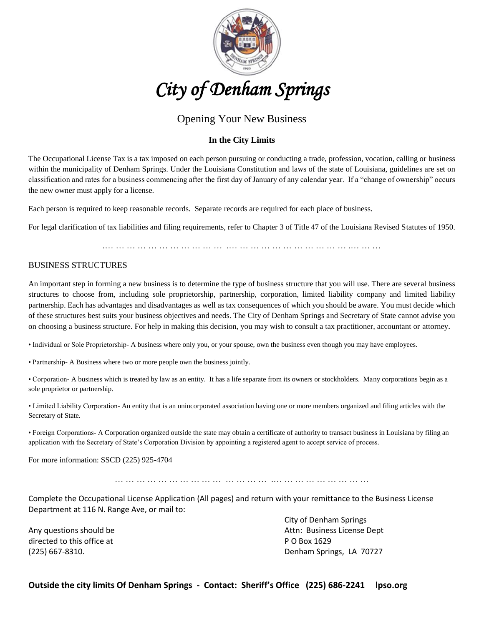

# *City of Denham Springs*

## Opening Your New Business

#### **In the City Limits**

The Occupational License Tax is a tax imposed on each person pursuing or conducting a trade, profession, vocation, calling or business within the municipality of Denham Springs. Under the Louisiana Constitution and laws of the state of Louisiana, guidelines are set on classification and rates for a business commencing after the first day of January of any calendar year. If a "change of ownership" occurs the new owner must apply for a license.

Each person is required to keep reasonable records. Separate records are required for each place of business.

For legal clarification of tax liabilities and filing requirements, refer to Chapter 3 of Title 47 of the Louisiana Revised Statutes of 1950.

.… … … … … … … … … … … .… … … … … … … … … … … .… … …

#### BUSINESS STRUCTURES

An important step in forming a new business is to determine the type of business structure that you will use. There are several business structures to choose from, including sole proprietorship, partnership, corporation, limited liability company and limited liability partnership. Each has advantages and disadvantages as well as tax consequences of which you should be aware. You must decide which of these structures best suits your business objectives and needs. The City of Denham Springs and Secretary of State cannot advise you on choosing a business structure. For help in making this decision, you may wish to consult a tax practitioner, accountant or attorney.

• Individual or Sole Proprietorship- A business where only you, or your spouse, own the business even though you may have employees.

• Partnership- A Business where two or more people own the business jointly.

• Corporation- A business which is treated by law as an entity. It has a life separate from its owners or stockholders. Many corporations begin as a sole proprietor or partnership.

• Limited Liability Corporation- An entity that is an unincorporated association having one or more members organized and filing articles with the Secretary of State.

• Foreign Corporations- A Corporation organized outside the state may obtain a certificate of authority to transact business in Louisiana by filing an application with the Secretary of State's Corporation Division by appointing a registered agent to accept service of process.

For more information: SSCD (225) 925-4704

… … … … … … … … … … … … … … .… … … … … … … … …

Complete the Occupational License Application (All pages) and return with your remittance to the Business License Department at 116 N. Range Ave, or mail to:

directed to this office at **P O Box 1629** 

City of Denham Springs Any questions should be Attn: Business License Dept (225) 667-8310. Denham Springs, LA 70727

**Outside the city limits Of Denham Springs - Contact: Sheriff's Office (225) 686-2241 lpso.org**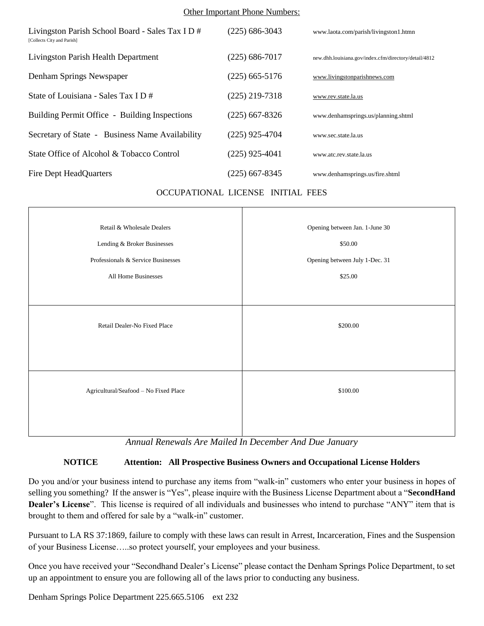#### Other Important Phone Numbers:

| Livingston Parish School Board - Sales Tax I D #<br>[Collects City and Parish] | (225) 686-3043   | www.laota.com/parish/livingston1.htmn                 |
|--------------------------------------------------------------------------------|------------------|-------------------------------------------------------|
| Livingston Parish Health Department                                            | (225) 686-7017   | new.dhh.louisiana.gov/index.cfm/directory/detail/4812 |
| Denham Springs Newspaper                                                       | $(225)$ 665-5176 | www.livingstonparishnews.com                          |
| State of Louisiana - Sales Tax I D #                                           | $(225)$ 219-7318 | www.rev.state.la.us                                   |
| Building Permit Office - Building Inspections                                  | (225) 667-8326   | www.denhamsprings.us/planning.shtml                   |
| Secretary of State - Business Name Availability                                | $(225)$ 925-4704 | www.sec.state.la.us                                   |
| State Office of Alcohol & Tobacco Control                                      | $(225)$ 925-4041 | www.atc.rev.state.la.us                               |
| Fire Dept HeadQuarters                                                         | (225) 667-8345   | www.denhamsprings.us/fire.shtml                       |

#### OCCUPATIONAL LICENSE INITIAL FEES

| Retail & Wholesale Dealers            | Opening between Jan. 1-June 30 |  |
|---------------------------------------|--------------------------------|--|
| Lending & Broker Businesses           | \$50.00                        |  |
| Professionals & Service Businesses    | Opening between July 1-Dec. 31 |  |
| All Home Businesses                   | \$25.00                        |  |
|                                       |                                |  |
|                                       |                                |  |
| Retail Dealer-No Fixed Place          | \$200.00                       |  |
|                                       |                                |  |
|                                       |                                |  |
|                                       |                                |  |
| Agricultural/Seafood - No Fixed Place | \$100.00                       |  |
|                                       |                                |  |
|                                       |                                |  |
|                                       |                                |  |

*Annual Renewals Are Mailed In December And Due January*

### **NOTICE Attention: All Prospective Business Owners and Occupational License Holders**

Do you and/or your business intend to purchase any items from "walk-in" customers who enter your business in hopes of selling you something? If the answer is "Yes", please inquire with the Business License Department about a "**SecondHand Dealer's License**". This license is required of all individuals and businesses who intend to purchase "ANY" item that is brought to them and offered for sale by a "walk-in" customer.

Pursuant to LA RS 37:1869, failure to comply with these laws can result in Arrest, Incarceration, Fines and the Suspension of your Business License…..so protect yourself, your employees and your business.

Once you have received your "Secondhand Dealer's License" please contact the Denham Springs Police Department, to set up an appointment to ensure you are following all of the laws prior to conducting any business.

Denham Springs Police Department 225.665.5106 ext 232